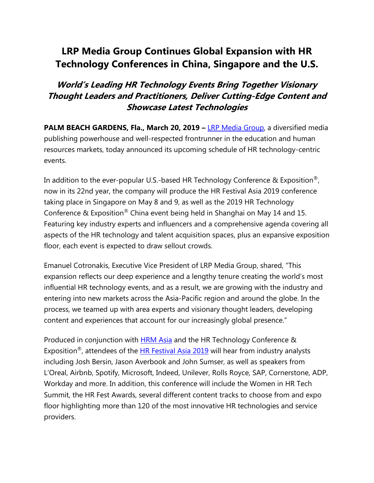## **LRP Media Group Continues Global Expansion with HR Technology Conferences in China, Singapore and the U.S.**

## **World's Leading HR Technology Events Bring Together Visionary Thought Leaders and Practitioners, Deliver Cutting-Edge Content and Showcase Latest Technologies**

**PALM BEACH GARDENS, Fla., March 20, 2019 – [LRP Media Group,](https://lrp.com/) a diversified media** publishing powerhouse and well-respected frontrunner in the education and human resources markets, today announced its upcoming schedule of HR technology-centric events.

In addition to the ever-popular U.S.-based HR Technology Conference & Exposition<sup>®</sup>, now in its 22nd year, the company will produce the HR Festival Asia 2019 conference taking place in Singapore on May 8 and 9, as well as the 2019 HR Technology Conference & Exposition® China event being held in Shanghai on May 14 and 15. Featuring key industry experts and influencers and a comprehensive agenda covering all aspects of the HR technology and talent acquisition spaces, plus an expansive exposition floor, each event is expected to draw sellout crowds.

Emanuel Cotronakis, Executive Vice President of LRP Media Group, shared, "This expansion reflects our deep experience and a lengthy tenure creating the world's most influential HR technology events, and as a result, we are growing with the industry and entering into new markets across the Asia-Pacific region and around the globe. In the process, we teamed up with area experts and visionary thought leaders, developing content and experiences that account for our increasingly global presence."

Produced in conjunction with **HRM Asia** and the HR Technology Conference & Exposition<sup>®</sup>, attendees of the  $HR$  Festival Asia 2019 will hear from industry analysts including Josh Bersin, Jason Averbook and John Sumser, as well as speakers from L'Oreal, Airbnb, Spotify, Microsoft, Indeed, Unilever, Rolls Royce, SAP, Cornerstone, ADP, Workday and more. In addition, this conference will include the Women in HR Tech Summit, the HR Fest Awards, several different content tracks to choose from and expo floor highlighting more than 120 of the most innovative HR technologies and service providers.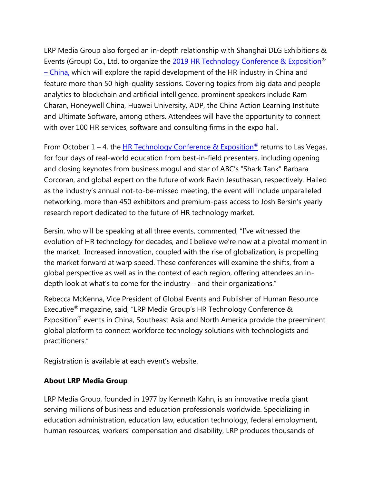LRP Media Group also forged an in-depth relationship with Shanghai DLG Exhibitions & Events (Group) Co., Ltd. to organize the [2019 HR Technology Conference & Exposition](http://www.hrtechchn.cn/en/index.aspx)<sup>®</sup>  $-$  [China,](http://www.hrtechchn.cn/en/index.aspx) which will explore the rapid development of the HR industry in China and feature more than 50 high-quality sessions. Covering topics from big data and people analytics to blockchain and artificial intelligence, prominent speakers include Ram Charan, Honeywell China, Huawei University, ADP, the China Action Learning Institute and Ultimate Software, among others. Attendees will have the opportunity to connect with over 100 HR services, software and consulting firms in the expo hall.

From October 1 – 4, the [HR Technology Conference & Exposition](https://www.hrtechnologyconference.com/)<sup>®</sup> returns to Las Vegas, for four days of real-world education from best-in-field presenters, including opening and closing keynotes from business mogul and star of ABC's "Shark Tank" Barbara Corcoran, and global expert on the future of work Ravin Jesuthasan, respectively. Hailed as the industry's annual not-to-be-missed meeting, the event will include unparalleled networking, more than 450 exhibitors and premium-pass access to Josh Bersin's yearly research report dedicated to the future of HR technology market.

Bersin, who will be speaking at all three events, commented, "I've witnessed the evolution of HR technology for decades, and I believe we're now at a pivotal moment in the market. Increased innovation, coupled with the rise of globalization, is propelling the market forward at warp speed. These conferences will examine the shifts, from a global perspective as well as in the context of each region, offering attendees an indepth look at what's to come for the industry – and their organizations."

Rebecca McKenna, Vice President of Global Events and Publisher of Human Resource Executive® magazine, said, "LRP Media Group's HR Technology Conference & Exposition® events in China, Southeast Asia and North America provide the preeminent global platform to connect workforce technology solutions with technologists and practitioners."

Registration is available at each event's website.

## **About LRP Media Group**

LRP Media Group, founded in 1977 by Kenneth Kahn, is an innovative media giant serving millions of business and education professionals worldwide. Specializing in education administration, education law, education technology, federal employment, human resources, workers' compensation and disability, LRP produces thousands of